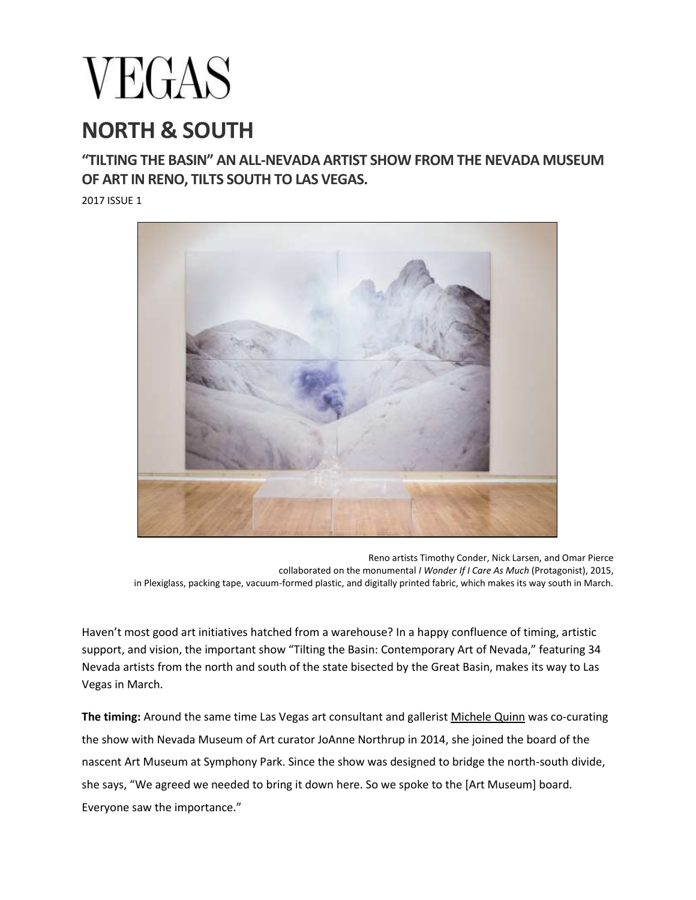## **VEGAS**

## **NORTH & SOUTH**

## **"TILTING THE BASIN" AN ALL-NEVADA ARTIST SHOW FROM THE NEVADA MUSEUM OF ART IN RENO, TILTS SOUTH TO LAS VEGAS.**

2017 ISSUE 1



Reno artists Timothy Conder, Nick Larsen, and Omar Pierce collaborated on the monumental *I Wonder If I Care As Much* (Protagonist), 2015, in Plexiglass, packing tape, vacuum-formed plastic, and digitally printed fabric, which makes its way south in March.

Haven't most good art initiatives hatched from a warehouse? In a happy confluence of timing, artistic support, and vision, the important show "Tilting the Basin: Contemporary Art of Nevada," featuring 34 Nevada artists from the north and south of the state bisected by the Great Basin, makes its way to Las Vegas in March.

**The timing:** Around the same time Las Vegas art consultant and gallerist [Michele](http://mcqfineart.com/) Quinn was co-curating the show with Nevada Museum of Art curator JoAnne Northrup in 2014, she joined the board of the nascent Art Museum at Symphony Park. Since the show was designed to bridge the north-south divide, she says, "We agreed we needed to bring it down here. So we spoke to the [Art Museum] board. Everyone saw the importance."